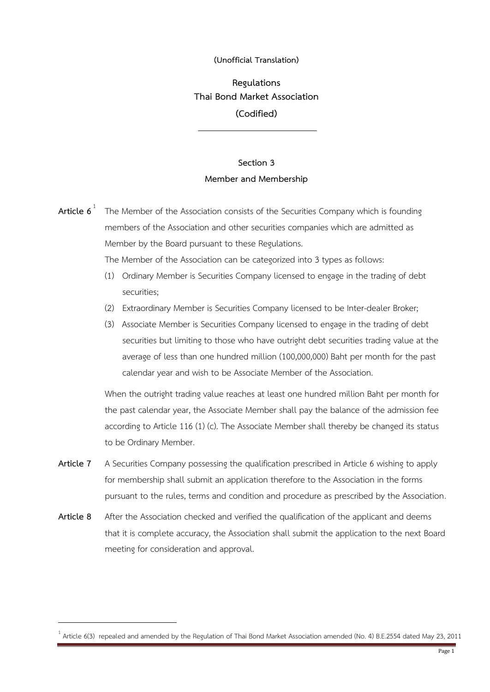## **(Unofficial Translation)**

**Regulations Thai Bond Market Association (Codified)**

## **Section 3 Member and Membership**

**Article 6** 1 The Member of the Association consists of the Securities Company which is founding members of the Association and other securities companies which are admitted as Member by the Board pursuant to these Regulations. The Member of the Association can be categorized into 3 types as follows: (1) Ordinary Member is Securities Company licensed to engage in the trading of debt securities; (2) Extraordinary Member is Securities Company licensed to be Inter-dealer Broker; (3) Associate Member is Securities Company licensed to engage in the trading of debt

securities but limiting to those who have outright debt securities trading value at the average of less than one hundred million (100,000,000) Baht per month for the past calendar year and wish to be Associate Member of the Association.

When the outright trading value reaches at least one hundred million Baht per month for the past calendar year, the Associate Member shall pay the balance of the admission fee according to Article 116 (1) (c). The Associate Member shall thereby be changed its status to be Ordinary Member.

- **Article 7** A Securities Company possessing the qualification prescribed in Article 6 wishing to apply for membership shall submit an application therefore to the Association in the forms pursuant to the rules, terms and condition and procedure as prescribed by the Association.
- **Article 8** After the Association checked and verified the qualification of the applicant and deems that it is complete accuracy, the Association shall submit the application to the next Board meeting for consideration and approval.

<sup>1</sup> Article 6(3) repealed and amended by the Regulation of Thai Bond Market Association amended (No. 4) B.E.2554 dated May 23, 2011